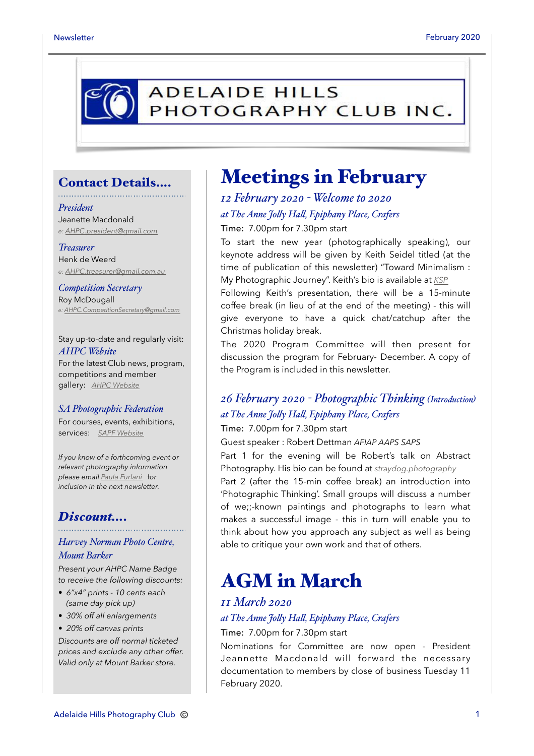

### Contact Details….

#### *President*

Jeanette Macdonald *e: [AHPC.president@gmail.com](mailto:AHPC.president@gmail.com)*

#### *Treasurer*

Henk de Weerd *e: [AHPC.treasurer@gmail.com.au](mailto:AHPC.treasurer@gmail.com.au)*

*Competition Secretary* Roy McDougall *e: [AHPC.CompetitionSecretary@gmail.com](mailto:AHPC.CompetitionSecretary@gmail.com)*

Stay up-to-date and regularly visit: *AHPC Website* For the latest Club news, program, competitions and member gallery: *[AHPC Website](http://www.adelaidehillsphotographyclub.com.au)*

#### *SA Photographic Federation*

For courses, events, exhibitions, services: *[SAPF Website](https://www.sapf.org.au)*

*If you know of a forthcoming event or relevant photography information please email [Paula Furlani](mailto:paulaphotoclick@gmail.com)* f*or inclusion in the next newsletter.* 

#### *Discount….*

#### *Harvey Norman Photo Centre, Mount Barker*

*Present your AHPC Name Badge to receive the following discounts:* 

- *6"x4" prints 10 cents each (same day pick up)*
- *30% off all enlargements*
- *20% off canvas prints*

*Discounts are off normal ticketed prices and exclude any other offer. Valid only at Mount Barker store.*

### Meetings in February

### *12 February 2020 - Welcome to 2020 at The Anne Jo"y Ha", Epiphany Place, Crafers* Time: 7.00pm for 7.30pm start

To start the new year (photographically speaking), our keynote address will be given by Keith Seidel titled (at the time of publication of this newsletter) "Toward Minimalism : My Photographic Journey". Keith's bio is available at *[KSP](https://www.keithseidel.id.au/about)*

Following Keith's presentation, there will be a 15-minute coffee break (in lieu of at the end of the meeting) - this will give everyone to have a quick chat/catchup after the Christmas holiday break.

The 2020 Program Committee will then present for discussion the program for February- December. A copy of the Program is included in this newsletter.

### *26 February 2020 - Photographic Thinking (Introduction) at The Anne Jo"y Ha", Epiphany Place, Crafers*

Time: 7.00pm for 7.30pm start

Guest speaker : Robert Dettman *AFIAP AAPS SAPS*

Part 1 for the evening will be Robert's talk on Abstract Photography. His bio can be found at *[straydog.photography](https://straydog.photography/about-1)* Part 2 (after the 15-min coffee break) an introduction into 'Photographic Thinking'. Small groups will discuss a number of we;;-known paintings and photographs to learn what makes a successful image - this in turn will enable you to think about how you approach any subject as well as being able to critique your own work and that of others.

### AGM in March

#### *11 March 2020*

### *at The Anne Jo"y Ha", Epiphany Place, Crafers*

Time: 7.00pm for 7.30pm start

Nominations for Committee are now open - President Jeannette Macdonald will forward the necessary documentation to members by close of business Tuesday 11 February 2020.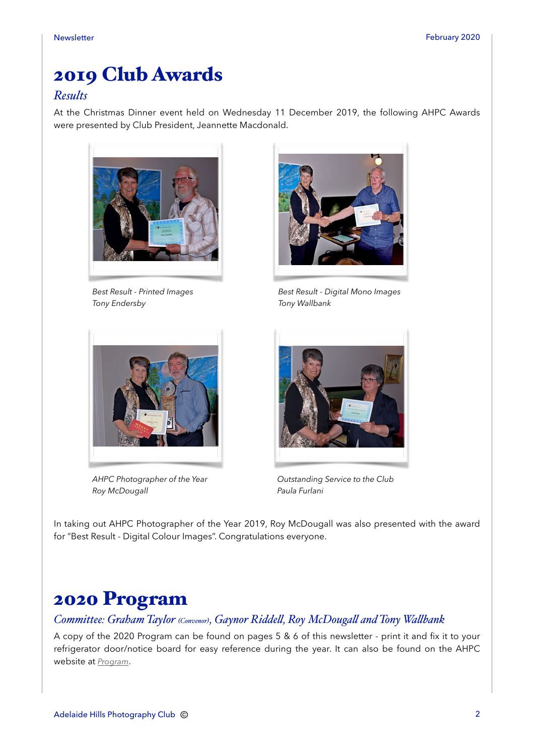### 2019 Club Awards

### *Results*

At the Christmas Dinner event held on Wednesday 11 December 2019, the following AHPC Awards were presented by Club President, Jeannette Macdonald.



*Best Result - Printed Images Tony Endersby*



*Best Result - Digital Mono Images Tony Wallbank*



*AHPC Photographer of the Year Roy McDougall*



*Outstanding Service to the Club Paula Furlani*

In taking out AHPC Photographer of the Year 2019, Roy McDougall was also presented with the award for "Best Result - Digital Colour Images". Congratulations everyone.

### 2020 Program

*Committee: Graham Taylor (Convenor), Gaynor Ridde", Roy McDouga" and Tony Wa"bank*

A copy of the 2020 Program can be found on pages 5 & 6 of this newsletter - print it and fix it to your refrigerator door/notice board for easy reference during the year. It can also be found on the AHPC website at *[Program](http://www.adelaidehillsphotographyclub.com.au/program)*.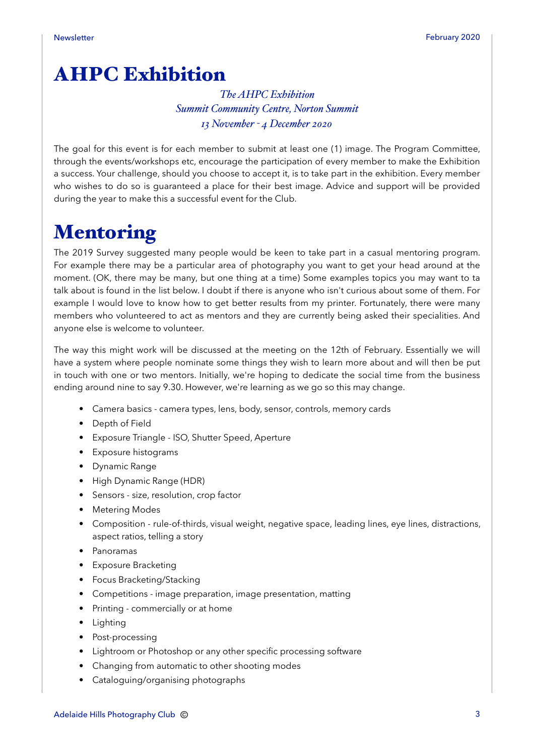# AHPC Exhibition

### *The AHPC Exhibition Summit Community Centre, Norton Summit 13 November - 4 December 2020*

The goal for this event is for each member to submit at least one (1) image. The Program Committee, through the events/workshops etc, encourage the participation of every member to make the Exhibition a success. Your challenge, should you choose to accept it, is to take part in the exhibition. Every member who wishes to do so is guaranteed a place for their best image. Advice and support will be provided during the year to make this a successful event for the Club.

# Mentoring

The 2019 Survey suggested many people would be keen to take part in a casual mentoring program. For example there may be a particular area of photography you want to get your head around at the moment. (OK, there may be many, but one thing at a time) Some examples topics you may want to ta talk about is found in the list below. I doubt if there is anyone who isn't curious about some of them. For example I would love to know how to get better results from my printer. Fortunately, there were many members who volunteered to act as mentors and they are currently being asked their specialities. And anyone else is welcome to volunteer.

The way this might work will be discussed at the meeting on the 12th of February. Essentially we will have a system where people nominate some things they wish to learn more about and will then be put in touch with one or two mentors. Initially, we're hoping to dedicate the social time from the business ending around nine to say 9.30. However, we're learning as we go so this may change.

- Camera basics camera types, lens, body, sensor, controls, memory cards
- Depth of Field
- Exposure Triangle ISO, Shutter Speed, Aperture
- Exposure histograms
- Dynamic Range
- High Dynamic Range (HDR)
- Sensors size, resolution, crop factor
- Metering Modes
- Composition rule-of-thirds, visual weight, negative space, leading lines, eye lines, distractions, aspect ratios, telling a story
- Panoramas
- Exposure Bracketing
- Focus Bracketing/Stacking
- Competitions image preparation, image presentation, matting
- Printing commercially or at home
- Lighting
- Post-processing
- Lightroom or Photoshop or any other specific processing software
- Changing from automatic to other shooting modes
- Cataloguing/organising photographs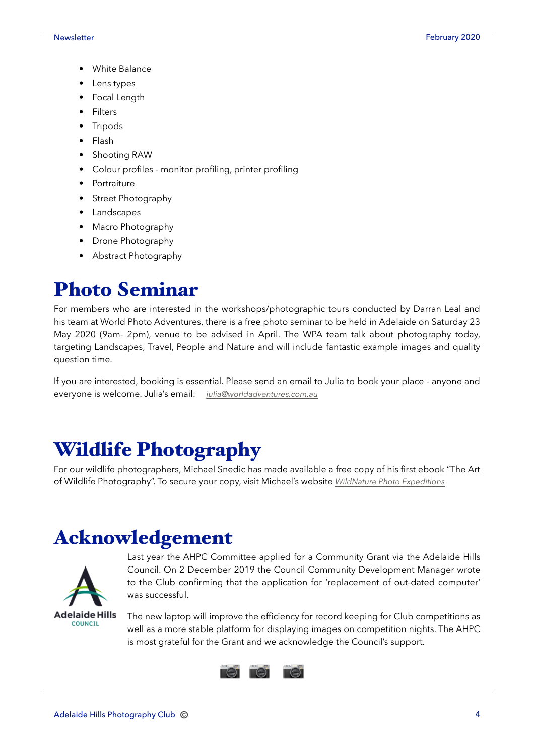- White Balance
- Lens types
- Focal Length
- Filters
- Tripods
- Flash
- Shooting RAW
- Colour profiles monitor profiling, printer profiling
- Portraiture
- Street Photography
- Landscapes
- Macro Photography
- Drone Photography
- Abstract Photography

### Photo Seminar

For members who are interested in the workshops/photographic tours conducted by Darran Leal and his team at World Photo Adventures, there is a free photo seminar to be held in Adelaide on Saturday 23 May 2020 (9am- 2pm), venue to be advised in April. The WPA team talk about photography today, targeting Landscapes, Travel, People and Nature and will include fantastic example images and quality question time.

If you are interested, booking is essential. Please send an email to Julia to book your place - anyone and everyone is welcome. Julia's email: *[julia@worldadventures.com.au](mailto:julia@worldadventures.com.au)*

### Wildlife Photography

For our wildlife photographers, Michael Snedic has made available a free copy of his first ebook "The Art of Wildlife Photography". To secure your copy, visit Michael's website *[WildNature Photo Expeditions](https://wildnaturephotoexpeditions.com/free-ebook-download/)*

### Acknowledgement



Last year the AHPC Committee applied for a Community Grant via the Adelaide Hills Council. On 2 December 2019 the Council Community Development Manager wrote to the Club confirming that the application for 'replacement of out-dated computer' was successful.

**Adelaide Hills COUNCIL** 

The new laptop will improve the efficiency for record keeping for Club competitions as well as a more stable platform for displaying images on competition nights. The AHPC is most grateful for the Grant and we acknowledge the Council's support.

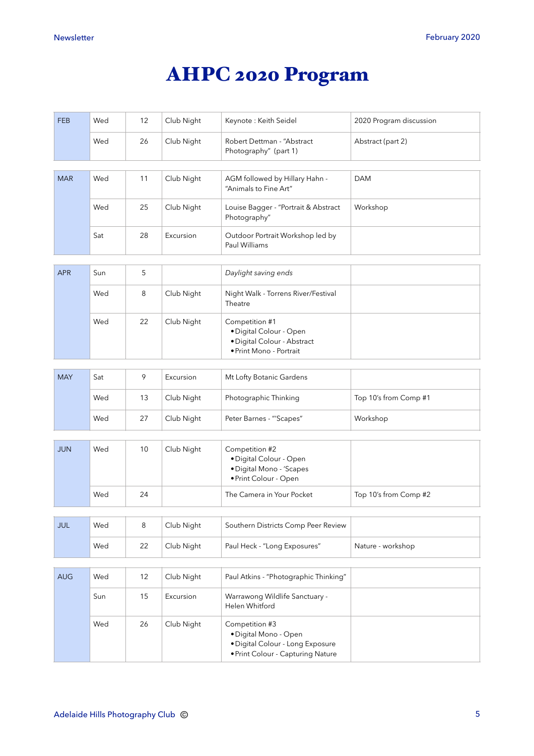# AHPC 2020 Program

| <b>FEB</b> | Wed | 12 | Club Night | Keynote: Keith Seidel                                                                                            | 2020 Program discussion |
|------------|-----|----|------------|------------------------------------------------------------------------------------------------------------------|-------------------------|
|            | Wed | 26 | Club Night | Robert Dettman - "Abstract<br>Photography" (part 1)                                                              | Abstract (part 2)       |
| <b>MAR</b> | Wed | 11 | Club Night | AGM followed by Hillary Hahn -<br>"Animals to Fine Art"                                                          | <b>DAM</b>              |
|            | Wed | 25 | Club Night | Louise Bagger - "Portrait & Abstract<br>Photography"                                                             | Workshop                |
|            | Sat | 28 | Excursion  | Outdoor Portrait Workshop led by<br>Paul Williams                                                                |                         |
| <b>APR</b> | Sun | 5  |            | Daylight saving ends                                                                                             |                         |
|            | Wed | 8  | Club Night | Night Walk - Torrens River/Festival<br>Theatre                                                                   |                         |
|            | Wed | 22 | Club Night | Competition #1<br>· Digital Colour - Open<br>· Digital Colour - Abstract<br>· Print Mono - Portrait              |                         |
| <b>MAY</b> | Sat | 9  | Excursion  | Mt Lofty Botanic Gardens                                                                                         |                         |
|            | Wed | 13 | Club Night | Photographic Thinking                                                                                            | Top 10's from Comp #1   |
|            | Wed | 27 | Club Night | Peter Barnes - "'Scapes"                                                                                         | Workshop                |
|            |     |    |            |                                                                                                                  |                         |
| <b>JUN</b> | Wed | 10 | Club Night | Competition #2<br>· Digital Colour - Open<br>· Digital Mono - 'Scapes<br>· Print Colour - Open                   |                         |
|            | Wed | 24 |            | The Camera in Your Pocket                                                                                        | Top 10's from Comp #2   |
| JUL        | Wed | 8  | Club Night | Southern Districts Comp Peer Review                                                                              |                         |
|            | Wed | 22 | Club Night | Paul Heck - "Long Exposures"                                                                                     | Nature - workshop       |
| <b>AUG</b> | Wed | 12 | Club Night |                                                                                                                  |                         |
|            |     |    |            | Paul Atkins - "Photographic Thinking"                                                                            |                         |
|            | Sun | 15 | Excursion  | Warrawong Wildlife Sanctuary -<br>Helen Whitford                                                                 |                         |
|            | Wed | 26 | Club Night | Competition #3<br>· Digital Mono - Open<br>· Digital Colour - Long Exposure<br>• Print Colour - Capturing Nature |                         |